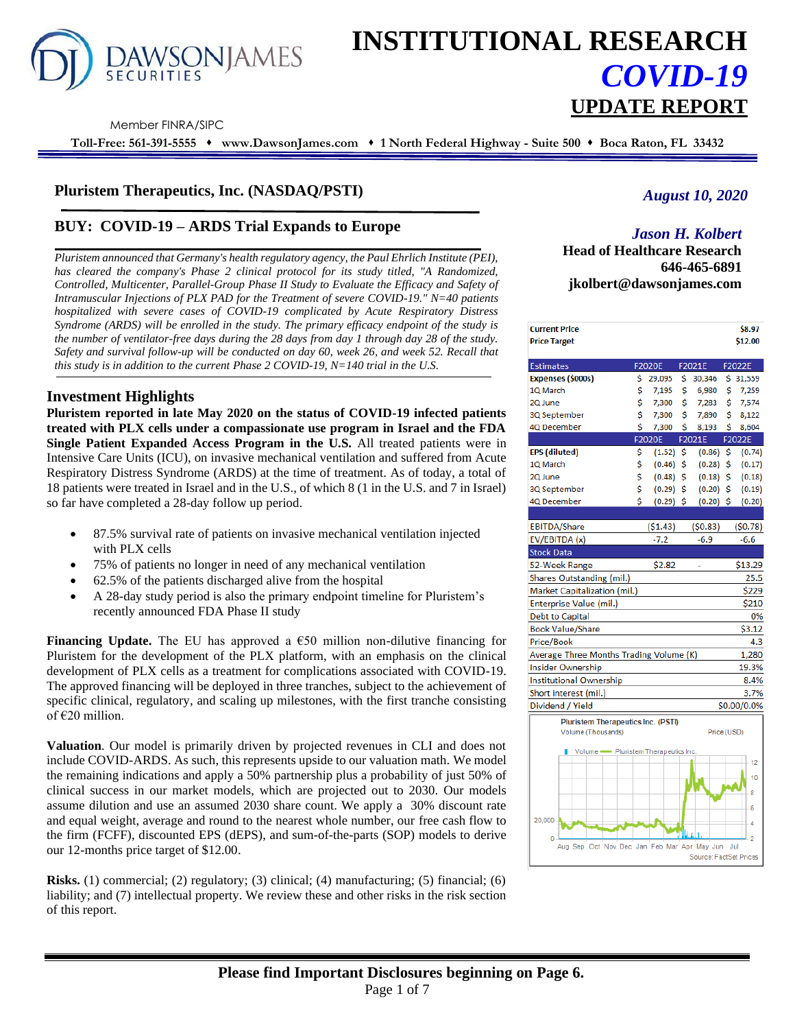

# **INSTITUTIONAL RESEARCH** *COVID-19* **UPDATE REPORT**

Member FINRA/SIPC

**Toll-Free: 561-391-5555** ⬧ **www.DawsonJames.com** ⬧ **1 North Federal Highway - Suite 500** ⬧ **Boca Raton, FL 33432**

# **Pluristem Therapeutics, Inc. (NASDAQ/PSTI)**

# **BUY: COVID-19 – ARDS Trial Expands to Europe**

*Pluristem announced that Germany's health regulatory agency, the Paul Ehrlich Institute (PEI), has cleared the company's Phase 2 clinical protocol for its study titled, "A Randomized, Controlled, Multicenter, Parallel-Group Phase II Study to Evaluate the Efficacy and Safety of Intramuscular Injections of PLX PAD for the Treatment of severe COVID-19." N=40 patients hospitalized with severe cases of COVID-19 complicated by Acute Respiratory Distress Syndrome (ARDS) will be enrolled in the study. The primary efficacy endpoint of the study is the number of ventilator-free days during the 28 days from day 1 through day 28 of the study. Safety and survival follow-up will be conducted on day 60, week 26, and week 52. Recall that this study is in addition to the current Phase 2 COVID-19, N=140 trial in the U.S.*

# **Investment Highlights**

**Pluristem reported in late May 2020 on the status of COVID-19 infected patients treated with PLX cells under a compassionate use program in Israel and the FDA Single Patient Expanded Access Program in the U.S.** All treated patients were in Intensive Care Units (ICU), on invasive mechanical ventilation and suffered from Acute Respiratory Distress Syndrome (ARDS) at the time of treatment. As of today, a total of 18 patients were treated in Israel and in the U.S., of which 8 (1 in the U.S. and 7 in Israel) so far have completed a 28-day follow up period.

- 87.5% survival rate of patients on invasive mechanical ventilation injected with PLX cells
- 75% of patients no longer in need of any mechanical ventilation
- 62.5% of the patients discharged alive from the hospital
- A 28-day study period is also the primary endpoint timeline for Pluristem's recently announced FDA Phase II study

**Financing Update.** The EU has approved a  $\epsilon$  50 million non-dilutive financing for Pluristem for the development of the PLX platform, with an emphasis on the clinical development of PLX cells as a treatment for complications associated with COVID-19. The approved financing will be deployed in three tranches, subject to the achievement of specific clinical, regulatory, and scaling up milestones, with the first tranche consisting of €20 million.

**Valuation**. Our model is primarily driven by projected revenues in CLI and does not include COVID-ARDS. As such, this represents upside to our valuation math. We model the remaining indications and apply a 50% partnership plus a probability of just 50% of clinical success in our market models, which are projected out to 2030. Our models assume dilution and use an assumed 2030 share count. We apply a 30% discount rate and equal weight, average and round to the nearest whole number, our free cash flow to the firm (FCFF), discounted EPS (dEPS), and sum-of-the-parts (SOP) models to derive our 12-months price target of \$12.00.

**Risks.** (1) commercial; (2) regulatory; (3) clinical; (4) manufacturing; (5) financial; (6) liability; and (7) intellectual property. We review these and other risks in the risk section of this report.

# *August 10, 2020*

# *Jason H. Kolbert*

**Head of Healthcare Research 646-465-6891 jkolbert@dawsonjames.com**

| <b>Current Price</b>                        |    |             |     |                        |     | \$8.97         |  |  |  |
|---------------------------------------------|----|-------------|-----|------------------------|-----|----------------|--|--|--|
| <b>Price Target</b>                         |    |             |     |                        |     | \$12.00        |  |  |  |
|                                             |    |             |     |                        |     |                |  |  |  |
| <b>Estimates</b>                            |    | F2020E      |     | F2021E                 |     | F2022E         |  |  |  |
| Expenses (\$000s)                           | \$ | 29,095      | \$. | 30,346                 |     | \$31,559       |  |  |  |
| 1Q March                                    | \$ | 7,195       | \$  | 6,980                  | \$  | 7,259          |  |  |  |
| 2Q June                                     | \$ | 7,300       | Ś   | 7,283                  | Ś   | 7,574          |  |  |  |
| 3Q September                                | \$ | 7,300       | \$  | 7,890                  | \$  | 8,122          |  |  |  |
| 4Q December                                 | Ś  | 7,300       | Ś   | 8,193                  | Ś   | 8,604          |  |  |  |
|                                             |    | F2020E      |     | F2021E                 |     | F2022E         |  |  |  |
| <b>EPS</b> (diluted)                        | \$ | $(1.52)$ \$ |     | (0.86)                 | -\$ | (0.74)         |  |  |  |
| 1Q March                                    | \$ | (0.46)      | \$  | (0.28)                 | \$  | (0.17)         |  |  |  |
| 2Q June                                     | \$ | (0.48)      | \$  | (0.18)                 | \$  | (0.18)         |  |  |  |
| 3Q September                                | \$ | (0.29)      | Ŝ   | (0.20)                 | \$  | (0.19)         |  |  |  |
| 4Q December                                 | Ś  | $(0.29)$ \$ |     | $(0.20)$ \$            |     | (0.20)         |  |  |  |
|                                             |    |             |     |                        |     |                |  |  |  |
| <b>EBITDA/Share</b>                         |    | ( \$1.43)   |     | (50.83)                |     | (50.78)        |  |  |  |
| EV/EBITDA (x)<br><b>Stock Data</b>          |    | $-7.2$      |     | $-6.9$                 |     | $-6.6$         |  |  |  |
| 52-Week Range                               |    | \$2.82      |     |                        |     | \$13.29        |  |  |  |
| Shares Outstanding (mil.)                   |    |             |     |                        |     | 25.5           |  |  |  |
| Market Capitalization (mil.)<br>\$229       |    |             |     |                        |     |                |  |  |  |
| Enterprise Value (mil.)                     |    |             |     |                        |     | \$210          |  |  |  |
| <b>Debt to Capital</b>                      |    |             |     |                        |     | 0%             |  |  |  |
| <b>Book Value/Share</b>                     |    |             |     |                        |     | \$3.12         |  |  |  |
| Price/Book                                  |    |             |     |                        |     | 4.3            |  |  |  |
| Average Three Months Trading Volume (K)     |    |             |     |                        |     | 1,280          |  |  |  |
| <b>Insider Ownership</b>                    |    |             |     |                        |     | 19.3%          |  |  |  |
| <b>Institutional Ownership</b>              |    |             |     |                        |     | 8.4%           |  |  |  |
| Short interest (mil.)                       |    |             |     |                        |     | 3.7%           |  |  |  |
| Dividend / Yield                            |    |             |     |                        |     | \$0.00/0.0%    |  |  |  |
| Pluristem Therapeutics Inc. (PSTI)          |    |             |     |                        |     |                |  |  |  |
| Volume (Thousands)                          |    |             |     | Price (USD)            |     |                |  |  |  |
| Volume Pluristem Therapeutics Inc.<br>П     |    |             |     |                        |     |                |  |  |  |
|                                             |    |             |     |                        |     | 12             |  |  |  |
|                                             |    |             |     |                        |     | 10             |  |  |  |
|                                             |    |             |     |                        |     | 8              |  |  |  |
|                                             |    |             |     |                        |     |                |  |  |  |
|                                             |    |             |     |                        |     | 6              |  |  |  |
| 20,000                                      |    |             |     |                        |     | 4              |  |  |  |
| $\mathbf{0}$                                |    |             |     |                        |     | $\overline{2}$ |  |  |  |
| Aug Sep Oct Nov Dec Jan Feb Mar Apr May Jun |    |             |     | Source: FactSet Prices |     | Jul            |  |  |  |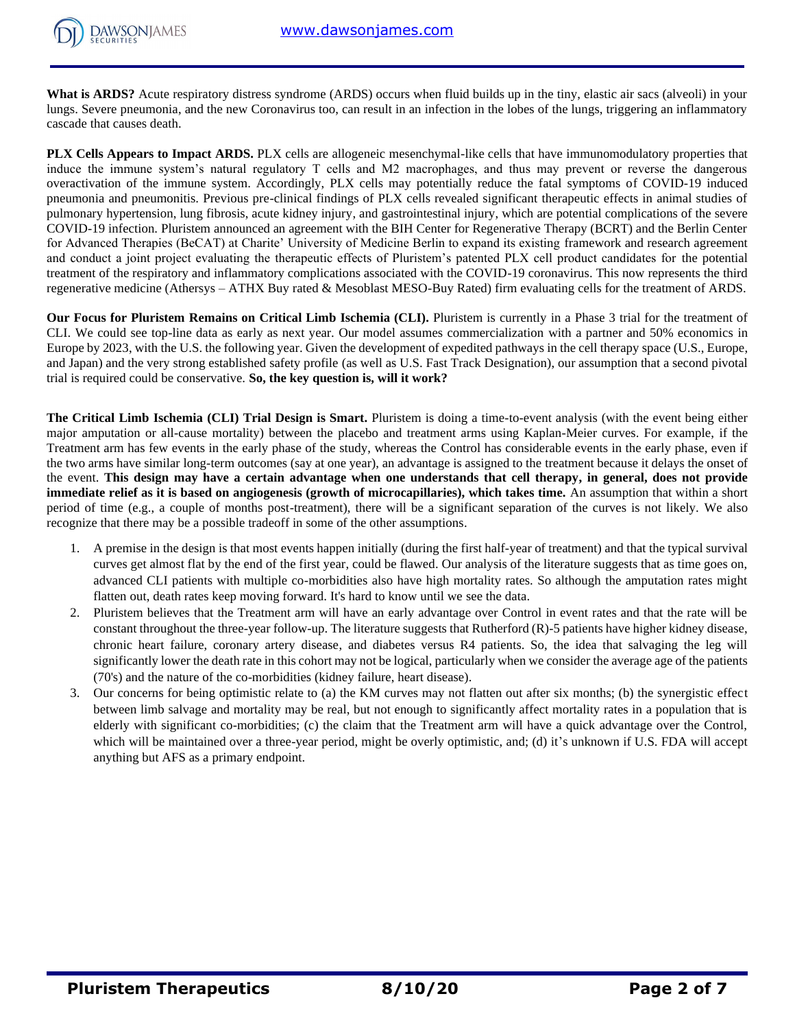

**What is ARDS?** Acute respiratory distress syndrome (ARDS) occurs when fluid builds up in the tiny, elastic air sacs (alveoli) in your lungs. Severe pneumonia, and the new Coronavirus too, can result in an infection in the lobes of the lungs, triggering an inflammatory cascade that causes death.

**PLX Cells Appears to Impact ARDS.** PLX cells are allogeneic mesenchymal-like cells that have immunomodulatory properties that induce the immune system's natural regulatory T cells and M2 macrophages, and thus may prevent or reverse the dangerous overactivation of the immune system. Accordingly, PLX cells may potentially reduce the fatal symptoms of COVID-19 induced pneumonia and pneumonitis. Previous pre-clinical findings of PLX cells revealed significant therapeutic effects in animal studies of pulmonary hypertension, lung fibrosis, acute kidney injury, and gastrointestinal injury, which are potential complications of the severe COVID-19 infection. Pluristem announced an agreement with the BIH Center for Regenerative Therapy (BCRT) and the Berlin Center for Advanced Therapies (BeCAT) at Charite' University of Medicine Berlin to expand its existing framework and research agreement and conduct a joint project evaluating the therapeutic effects of Pluristem's patented PLX cell product candidates for the potential treatment of the respiratory and inflammatory complications associated with the COVID-19 coronavirus. This now represents the third regenerative medicine (Athersys – ATHX Buy rated & Mesoblast MESO-Buy Rated) firm evaluating cells for the treatment of ARDS.

**Our Focus for Pluristem Remains on Critical Limb Ischemia (CLI).** Pluristem is currently in a Phase 3 trial for the treatment of CLI. We could see top-line data as early as next year. Our model assumes commercialization with a partner and 50% economics in Europe by 2023, with the U.S. the following year. Given the development of expedited pathways in the cell therapy space (U.S., Europe, and Japan) and the very strong established safety profile (as well as U.S. Fast Track Designation), our assumption that a second pivotal trial is required could be conservative. **So, the key question is, will it work?** 

**The Critical Limb Ischemia (CLI) Trial Design is Smart.** Pluristem is doing a time-to-event analysis (with the event being either major amputation or all-cause mortality) between the placebo and treatment arms using Kaplan-Meier curves. For example, if the Treatment arm has few events in the early phase of the study, whereas the Control has considerable events in the early phase, even if the two arms have similar long-term outcomes (say at one year), an advantage is assigned to the treatment because it delays the onset of the event. **This design may have a certain advantage when one understands that cell therapy, in general, does not provide immediate relief as it is based on angiogenesis (growth of microcapillaries), which takes time.** An assumption that within a short period of time (e.g., a couple of months post-treatment), there will be a significant separation of the curves is not likely. We also recognize that there may be a possible tradeoff in some of the other assumptions.

- 1. A premise in the design is that most events happen initially (during the first half-year of treatment) and that the typical survival curves get almost flat by the end of the first year, could be flawed. Our analysis of the literature suggests that as time goes on, advanced CLI patients with multiple co-morbidities also have high mortality rates. So although the amputation rates might flatten out, death rates keep moving forward. It's hard to know until we see the data.
- 2. Pluristem believes that the Treatment arm will have an early advantage over Control in event rates and that the rate will be constant throughout the three-year follow-up. The literature suggests that Rutherford (R)-5 patients have higher kidney disease, chronic heart failure, coronary artery disease, and diabetes versus R4 patients. So, the idea that salvaging the leg will significantly lower the death rate in this cohort may not be logical, particularly when we consider the average age of the patients (70's) and the nature of the co-morbidities (kidney failure, heart disease).
- 3. Our concerns for being optimistic relate to (a) the KM curves may not flatten out after six months; (b) the synergistic effect between limb salvage and mortality may be real, but not enough to significantly affect mortality rates in a population that is elderly with significant co-morbidities; (c) the claim that the Treatment arm will have a quick advantage over the Control, which will be maintained over a three-year period, might be overly optimistic, and; (d) it's unknown if U.S. FDA will accept anything but AFS as a primary endpoint.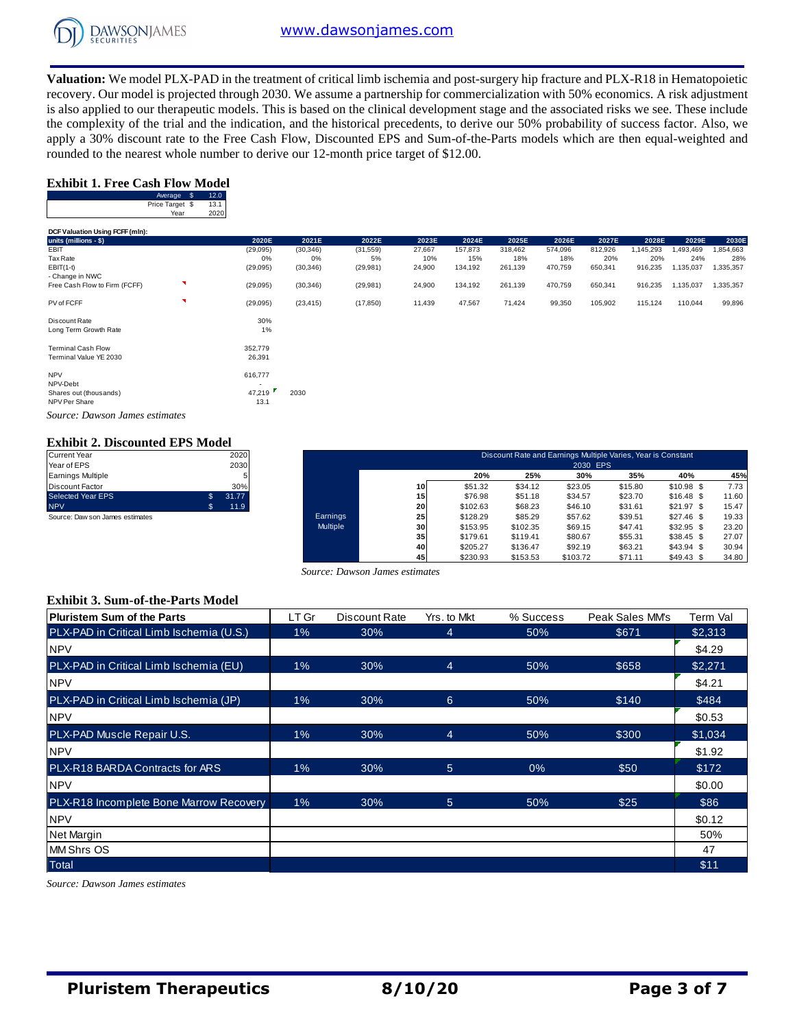

**Valuation:** We model PLX-PAD in the treatment of critical limb ischemia and post-surgery hip fracture and PLX-R18 in Hematopoietic recovery. Our model is projected through 2030. We assume a partnership for commercialization with 50% economics. A risk adjustment is also applied to our therapeutic models. This is based on the clinical development stage and the associated risks we see. These include the complexity of the trial and the indication, and the historical precedents, to derive our 50% probability of success factor. Also, we apply a 30% discount rate to the Free Cash Flow, Discounted EPS and Sum-of-the-Parts models which are then equal-weighted and rounded to the nearest whole number to derive our 12-month price target of \$12.00.

#### **Exhibit 1. Free Cash Flow Model**

| Average         | 2.0  |
|-----------------|------|
| Price Target \$ | 13.1 |
| Year            | 2020 |

|                                 | Average \$              | 12.0         |           |           |           |        |         |         |         |         |           |           |           |
|---------------------------------|-------------------------|--------------|-----------|-----------|-----------|--------|---------|---------|---------|---------|-----------|-----------|-----------|
|                                 | Price Target \$<br>Year | 13.1<br>2020 |           |           |           |        |         |         |         |         |           |           |           |
|                                 |                         |              |           |           |           |        |         |         |         |         |           |           |           |
| DCF Valuation Using FCFF (mln): |                         |              |           |           |           |        |         |         |         |         |           |           |           |
| units (millions - \$)           |                         |              | 2020E     | 2021E     | 2022E     | 2023E  | 2024E   | 2025E   | 2026E   | 2027E   | 2028E     | 2029E     | 2030E     |
| EBIT                            |                         |              | (29,095)  | (30, 346) | (31, 559) | 27,667 | 157,873 | 318,462 | 574,096 | 812,926 | 1,145,293 | 1,493,469 | 1,854,663 |
| Tax Rate                        |                         |              | 0%        | 0%        | 5%        | 10%    | 15%     | 18%     | 18%     | 20%     | 20%       | 24%       | 28%       |
| $EBIT(1-t)$                     |                         |              | (29, 095) | (30, 346) | (29, 981) | 24,900 | 134,192 | 261,139 | 470,759 | 650,341 | 916,235   | 1,135,037 | 1,335,357 |
| - Change in NWC                 |                         |              |           |           |           |        |         |         |         |         |           |           |           |
| Free Cash Flow to Firm (FCFF)   | ٦                       |              | (29, 095) | (30, 346) | (29, 981) | 24,900 | 134,192 | 261,139 | 470,759 | 650,341 | 916,235   | 1,135,037 | 1,335,357 |
| PV of FCFF                      | ◥                       |              | (29,095)  | (23, 415) | (17, 850) | 11,439 | 47,567  | 71,424  | 99,350  | 105,902 | 115,124   | 110,044   | 99,896    |
| Discount Rate                   |                         |              | 30%       |           |           |        |         |         |         |         |           |           |           |
| Long Term Growth Rate           |                         |              | 1%        |           |           |        |         |         |         |         |           |           |           |
| <b>Terminal Cash Flow</b>       |                         |              | 352,779   |           |           |        |         |         |         |         |           |           |           |
| Terminal Value YE 2030          |                         |              | 26,391    |           |           |        |         |         |         |         |           |           |           |
| <b>NPV</b>                      |                         |              | 616,777   |           |           |        |         |         |         |         |           |           |           |

*Source: Dawson James estimates*

#### **Exhibit 2. Discounted EPS Model**

| <b>Current Year</b>             | 2020        |
|---------------------------------|-------------|
| Year of EPS                     | 2030        |
| Earnings Multiple               |             |
| <b>Discount Factor</b>          | 30%         |
| <b>Selected Year EPS</b>        | \$<br>31.77 |
| <b>NPV</b>                      | 11.9        |
| Source: Daw son James estimates |             |

NPV-Debt<br>
Shares out (thousands) 47,219 Shares out (thousands) 47,219 2030 NPV Per Share 13.1

| Current Year                     |              | 2020  |          | Discount Rate and Earnings Multiple Varies, Year is Constant |          |          |                 |         |             |       |  |  |
|----------------------------------|--------------|-------|----------|--------------------------------------------------------------|----------|----------|-----------------|---------|-------------|-------|--|--|
| Year of EPS<br>Earnings Multiple |              | 2030  |          |                                                              | 20%      | 25%      | 2030 EPS<br>30% | 35%     | 40%         | 45%   |  |  |
| Discount Factor                  |              | 30%   |          | 10 <sup>1</sup>                                              | \$51.32  | \$34.12  | \$23.05         | \$15.80 | $$10.98$ \$ | 7.73  |  |  |
| Selected Year EPS                | $\mathbf{s}$ | 31.77 |          | 15                                                           | \$76.98  | \$51.18  | \$34.57         | \$23.70 | $$16.48$ \$ | 11.60 |  |  |
| <b>NPV</b>                       | 55           | 11.9  |          | 20                                                           | \$102.63 | \$68.23  | \$46.10         | \$31.61 | \$21.97S    | 15.47 |  |  |
| Source: Daw son James estimates  |              |       | Earnings | 25                                                           | \$128.29 | \$85.29  | \$57.62         | \$39.51 | $$27.46$ \$ | 19.33 |  |  |
|                                  |              |       | Multiple | 30 <sup>1</sup>                                              | \$153.95 | \$102.35 | \$69.15         | \$47.41 | $$32.95$ \$ | 23.20 |  |  |
|                                  |              |       |          | 35 <sub>1</sub>                                              | \$179.61 | \$119.41 | \$80.67         | \$55.31 | $$38.45$ \$ | 27.07 |  |  |
|                                  |              |       |          | 40                                                           | \$205.27 | \$136.47 | \$92.19         | \$63.21 | $$43.94$ \$ | 30.94 |  |  |
|                                  |              |       |          | 45                                                           | \$230.93 | \$153.53 | \$103.72        | \$71.11 | $$49.43$ \$ | 34.80 |  |  |

#### **Exhibit 3. Sum-of-the-Parts Model**

| Source: Dawson James estimates           |       |               |                |           |                 |          |  |  |  |  |  |  |
|------------------------------------------|-------|---------------|----------------|-----------|-----------------|----------|--|--|--|--|--|--|
| <b>Exhibit 3. Sum-of-the-Parts Model</b> |       |               |                |           |                 |          |  |  |  |  |  |  |
| <b>Pluristem Sum of the Parts</b>        | LT Gr | Discount Rate | Yrs. to Mkt    | % Success | Peak Sales MM's | Term Val |  |  |  |  |  |  |
| PLX-PAD in Critical Limb Ischemia (U.S.) | $1\%$ | 30%           | $\overline{4}$ | 50%       | \$671           | \$2,313  |  |  |  |  |  |  |
| <b>NPV</b>                               |       |               |                |           |                 | \$4.29   |  |  |  |  |  |  |
| PLX-PAD in Critical Limb Ischemia (EU)   | $1\%$ | 30%           | $\overline{4}$ | 50%       | \$658           | \$2,271  |  |  |  |  |  |  |
| <b>NPV</b>                               |       |               |                |           |                 | \$4.21   |  |  |  |  |  |  |
| PLX-PAD in Critical Limb Ischemia (JP)   | 1%    | 30%           | 6              | 50%       | \$140           | \$484    |  |  |  |  |  |  |
| <b>NPV</b>                               |       |               |                |           |                 | \$0.53   |  |  |  |  |  |  |
| PLX-PAD Muscle Repair U.S.               | $1\%$ | 30%           | $\overline{4}$ | 50%       | \$300           | \$1,034  |  |  |  |  |  |  |
| <b>NPV</b>                               |       |               |                |           |                 | \$1.92   |  |  |  |  |  |  |
| PLX-R18 BARDA Contracts for ARS          | $1\%$ | 30%           | 5 <sup>5</sup> | $0\%$     | \$50            | \$172    |  |  |  |  |  |  |
| <b>NPV</b>                               |       |               |                |           |                 | \$0.00   |  |  |  |  |  |  |
| PLX-R18 Incomplete Bone Marrow Recovery  | $1\%$ | 30%           | $\sqrt{5}$     | 50%       | \$25            | \$86     |  |  |  |  |  |  |
| <b>NPV</b>                               |       |               |                |           |                 | \$0.12   |  |  |  |  |  |  |
| Net Margin                               |       |               |                |           |                 | 50%      |  |  |  |  |  |  |
| <b>MM Shrs OS</b>                        |       |               |                |           |                 | 47       |  |  |  |  |  |  |
| <b>Total</b>                             |       |               |                |           |                 | \$11     |  |  |  |  |  |  |

*Source: Dawson James estimates*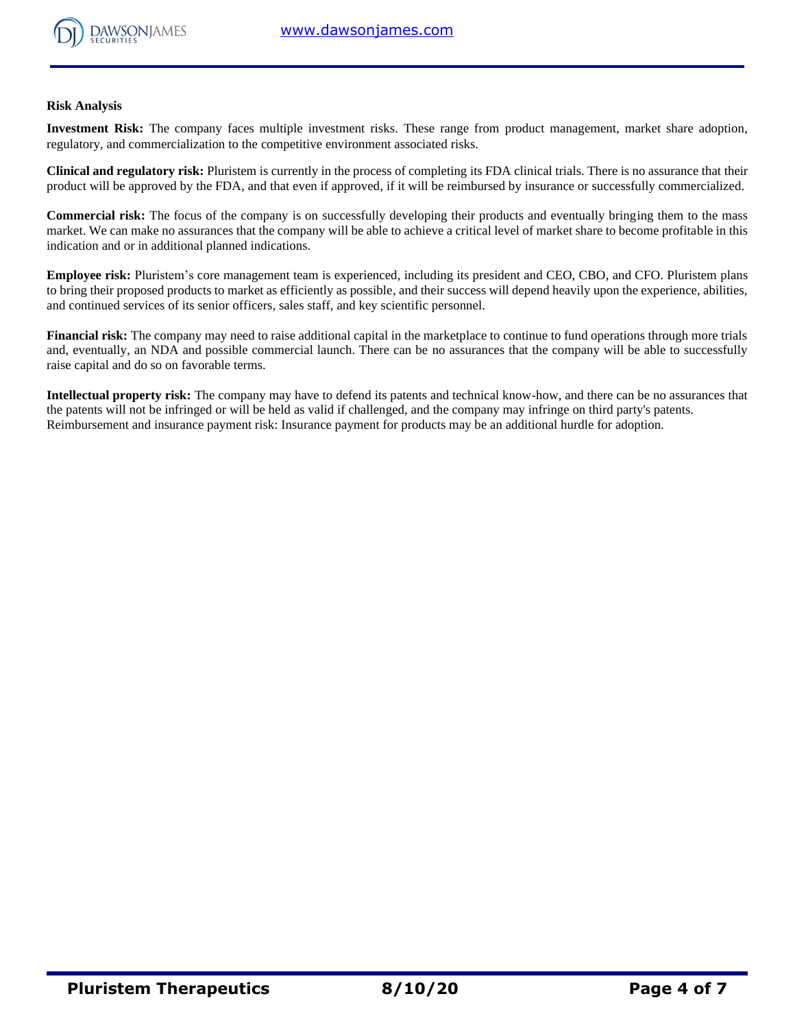

#### **Risk Analysis**

**Investment Risk:** The company faces multiple investment risks. These range from product management, market share adoption, regulatory, and commercialization to the competitive environment associated risks.

**Clinical and regulatory risk:** Pluristem is currently in the process of completing its FDA clinical trials. There is no assurance that their product will be approved by the FDA, and that even if approved, if it will be reimbursed by insurance or successfully commercialized.

**Commercial risk:** The focus of the company is on successfully developing their products and eventually bringing them to the mass market. We can make no assurances that the company will be able to achieve a critical level of market share to become profitable in this indication and or in additional planned indications.

**Employee risk:** Pluristem's core management team is experienced, including its president and CEO, CBO, and CFO. Pluristem plans to bring their proposed products to market as efficiently as possible, and their success will depend heavily upon the experience, abilities, and continued services of its senior officers, sales staff, and key scientific personnel.

**Financial risk:** The company may need to raise additional capital in the marketplace to continue to fund operations through more trials and, eventually, an NDA and possible commercial launch. There can be no assurances that the company will be able to successfully raise capital and do so on favorable terms.

**Intellectual property risk:** The company may have to defend its patents and technical know-how, and there can be no assurances that the patents will not be infringed or will be held as valid if challenged, and the company may infringe on third party's patents. Reimbursement and insurance payment risk: Insurance payment for products may be an additional hurdle for adoption.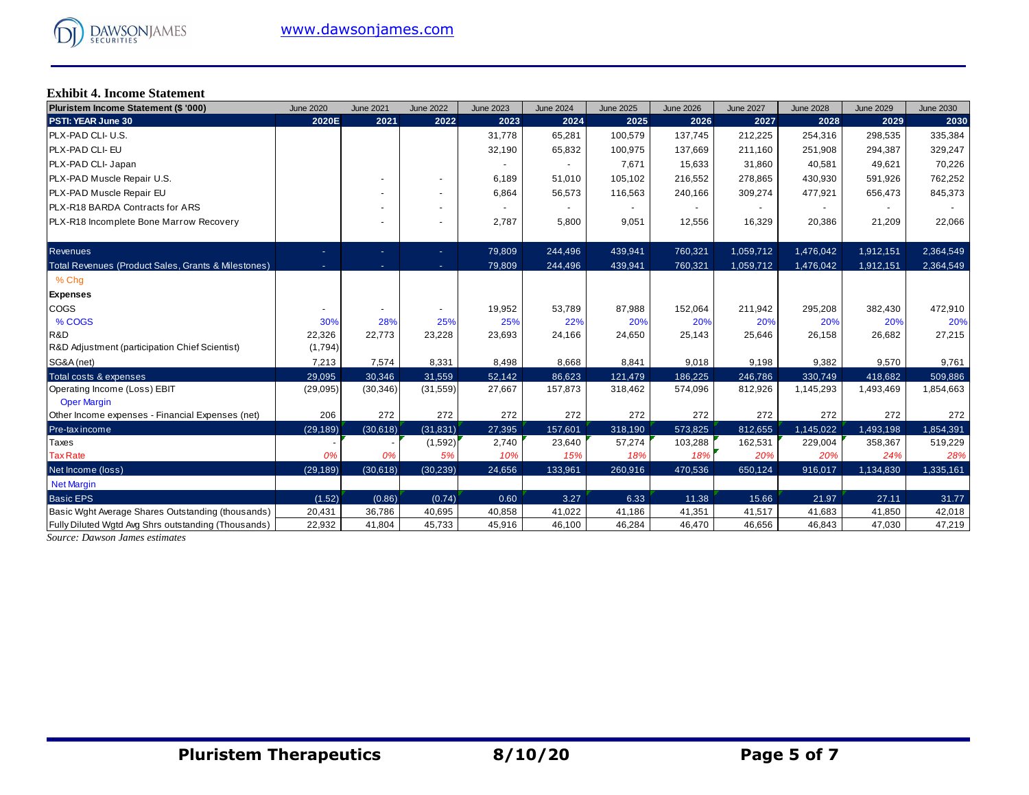# **Exhibit 4. Income Statement**

| Pluristem Income Statement (\$ '000)                | <b>June 2020</b> | <b>June 2021</b> | <b>June 2022</b> | <b>June 2023</b> | <b>June 2024</b> | <b>June 2025</b> | <b>June 2026</b> | <b>June 2027</b> | <b>June 2028</b> | <b>June 2029</b> | <b>June 2030</b> |
|-----------------------------------------------------|------------------|------------------|------------------|------------------|------------------|------------------|------------------|------------------|------------------|------------------|------------------|
| PSTI: YEAR June 30                                  | 2020E            | 2021             | 2022             | 2023             | 2024             | 2025             | 2026             | 2027             | 2028             | 2029             | 2030             |
| PLX-PAD CLI- U.S.                                   |                  |                  |                  | 31,778           | 65,281           | 100,579          | 137,745          | 212,225          | 254,316          | 298,535          | 335,384          |
| PLX-PAD CLI- EU                                     |                  |                  |                  | 32,190           | 65,832           | 100,975          | 137,669          | 211,160          | 251,908          | 294,387          | 329,247          |
| PLX-PAD CLI- Japan                                  |                  |                  |                  | $\sim$           |                  | 7,671            | 15,633           | 31,860           | 40,581           | 49,621           | 70,226           |
| PLX-PAD Muscle Repair U.S.                          |                  |                  |                  | 6,189            | 51,010           | 105,102          | 216,552          | 278,865          | 430,930          | 591,926          | 762,252          |
| PLX-PAD Muscle Repair EU                            |                  |                  | ٠                | 6,864            | 56,573           | 116,563          | 240,166          | 309,274          | 477,921          | 656,473          | 845,373          |
| PLX-R18 BARDA Contracts for ARS                     |                  |                  | ٠                |                  |                  |                  |                  |                  |                  |                  |                  |
| PLX-R18 Incomplete Bone Marrow Recovery             |                  |                  | ۰                | 2,787            | 5,800            | 9,051            | 12,556           | 16,329           | 20,386           | 21,209           | 22,066           |
| <b>Revenues</b>                                     | ٠                | ٠                | ÷.               | 79,809           | 244,496          | 439,941          | 760,321          | 1,059,712        | 1,476,042        | 1,912,151        | 2,364,549        |
| Total Revenues (Product Sales, Grants & Milestones) | ٠                | ٠                | ٠.               | 79,809           | 244,496          | 439,941          | 760,321          | 1,059,712        | 1,476,042        | 1,912,151        | 2,364,549        |
| % Chq                                               |                  |                  |                  |                  |                  |                  |                  |                  |                  |                  |                  |
| <b>Expenses</b>                                     |                  |                  |                  |                  |                  |                  |                  |                  |                  |                  |                  |
| COGS                                                |                  |                  |                  | 19,952           | 53,789           | 87,988           | 152,064          | 211,942          | 295,208          | 382,430          | 472,910          |
| % COGS                                              | 30%              | 28%              | 25%              | 25%              | 22%              | 20%              | 20%              | 20%              | 20%              | 20%              | 20%              |
| R&D                                                 | 22,326           | 22,773           | 23,228           | 23,693           | 24,166           | 24,650           | 25,143           | 25,646           | 26,158           | 26,682           | 27,215           |
| R&D Adjustment (participation Chief Scientist)      | (1,794)          |                  |                  |                  |                  |                  |                  |                  |                  |                  |                  |
| SG&A (net)                                          | 7,213            | 7,574            | 8,331            | 8,498            | 8,668            | 8,841            | 9,018            | 9,198            | 9,382            | 9,570            | 9,761            |
| Total costs & expenses                              | 29,095           | 30,346           | 31,559           | 52,142           | 86,623           | 121,479          | 186,225          | 246,786          | 330,749          | 418,682          | 509,886          |
| Operating Income (Loss) EBIT<br><b>Oper Margin</b>  | (29,095)         | (30, 346)        | (31, 559)        | 27,667           | 157,873          | 318,462          | 574,096          | 812,926          | 1,145,293        | 1,493,469        | 1,854,663        |
| Other Income expenses - Financial Expenses (net)    | 206              | 272              | 272              | 272              | 272              | 272              | 272              | 272              | 272              | 272              | 272              |
| Pre-tax income                                      | (29, 189)        | (30,618)         | (31, 831)        | 27,395           | 157,601          | 318,190          | 573,825          | 812,655          | 1,145,022        | 1,493,198        | 1,854,391        |
| Taxes                                               |                  |                  | (1,592)          | 2,740            | 23,640           | 57,274           | 103,288          | 162,531          | 229,004          | 358,367          | 519,229          |
| <b>Tax Rate</b>                                     | 0%               | 0%               | 5%               | 10%              | 15%              | 18%              | 18%              | 20%              | 20%              | 24%              | 28%              |
| Net Income (loss)                                   | (29, 189)        | (30,618)         | (30, 239)        | 24,656           | 133,961          | 260,916          | 470,536          | 650,124          | 916,017          | 1,134,830        | 1,335,161        |
| <b>Net Margin</b>                                   |                  |                  |                  |                  |                  |                  |                  |                  |                  |                  |                  |
| <b>Basic EPS</b>                                    | (1.52)           | (0.86)           | (0.74)           | 0.60             | 3.27             | 6.33             | 11.38            | 15.66            | 21.97            | 27.11            | 31.77            |
| Basic Wght Average Shares Outstanding (thousands)   | 20,431           | 36,786           | 40,695           | 40,858           | 41,022           | 41,186           | 41,351           | 41,517           | 41,683           | 41,850           | 42,018           |
| Fully Diluted Wgtd Avg Shrs outstanding (Thousands) | 22,932           | 41,804           | 45,733           | 45,916           | 46,100           | 46,284           | 46,470           | 46,656           | 46,843           | 47,030           | 47,219           |

*Source: Dawson James estimates*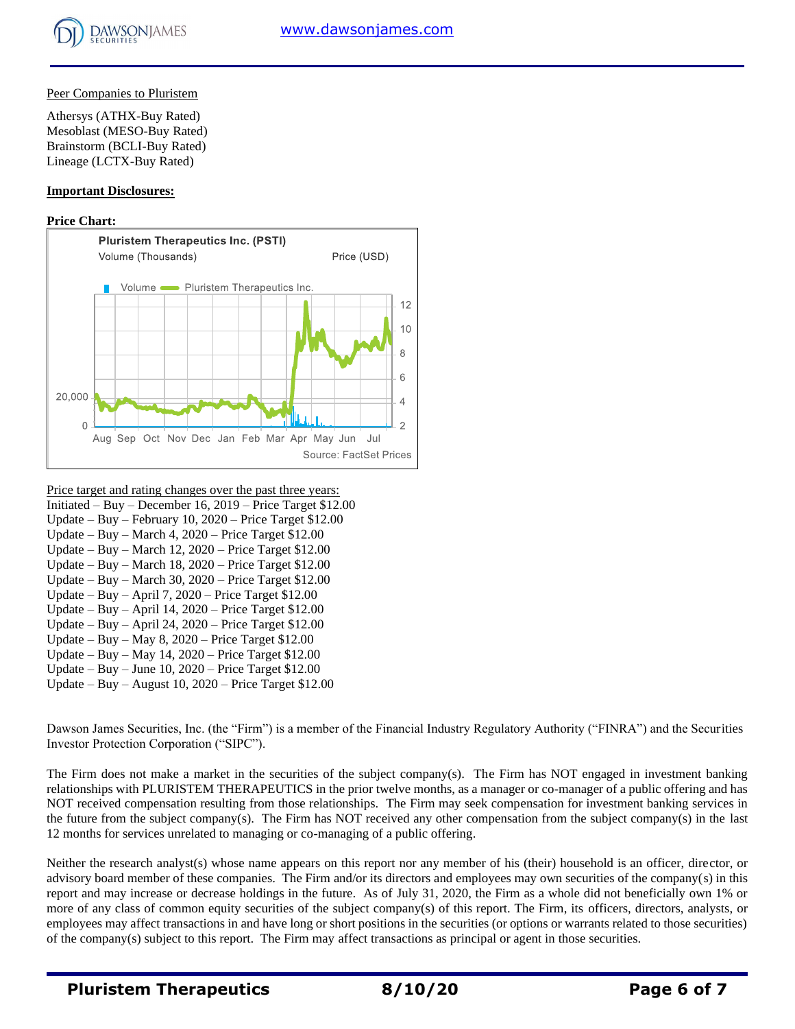## Peer Companies to Pluristem

Athersys (ATHX-Buy Rated) Mesoblast (MESO-Buy Rated) Brainstorm (BCLI-Buy Rated) Lineage (LCTX-Buy Rated)

## **Important Disclosures:**

## **Price Chart:**



Price target and rating changes over the past three years:

Initiated – Buy – December 16, 2019 – Price Target \$12.00 Update – Buy – February 10, 2020 – Price Target \$12.00 Update – Buy – March 4, 2020 – Price Target \$12.00 Update – Buy – March 12, 2020 – Price Target \$12.00 Update – Buy – March 18, 2020 – Price Target \$12.00 Update – Buy – March 30, 2020 – Price Target \$12.00 Update – Buy – April 7, 2020 – Price Target \$12.00 Update – Buy – April 14, 2020 – Price Target \$12.00 Update – Buy – April 24, 2020 – Price Target \$12.00 Update – Buy – May 8, 2020 – Price Target \$12.00 Update – Buy – May 14, 2020 – Price Target \$12.00 Update – Buy – June 10, 2020 – Price Target \$12.00 Update – Buy – August 10, 2020 – Price Target \$12.00

Dawson James Securities, Inc. (the "Firm") is a member of the Financial Industry Regulatory Authority ("FINRA") and the Securities Investor Protection Corporation ("SIPC").

The Firm does not make a market in the securities of the subject company(s). The Firm has NOT engaged in investment banking relationships with PLURISTEM THERAPEUTICS in the prior twelve months, as a manager or co-manager of a public offering and has NOT received compensation resulting from those relationships. The Firm may seek compensation for investment banking services in the future from the subject company(s). The Firm has NOT received any other compensation from the subject company(s) in the last 12 months for services unrelated to managing or co-managing of a public offering.

Neither the research analyst(s) whose name appears on this report nor any member of his (their) household is an officer, director, or advisory board member of these companies. The Firm and/or its directors and employees may own securities of the company(s) in this report and may increase or decrease holdings in the future. As of July 31, 2020, the Firm as a whole did not beneficially own 1% or more of any class of common equity securities of the subject company(s) of this report. The Firm, its officers, directors, analysts, or employees may affect transactions in and have long or short positions in the securities (or options or warrants related to those securities) of the company(s) subject to this report. The Firm may affect transactions as principal or agent in those securities.